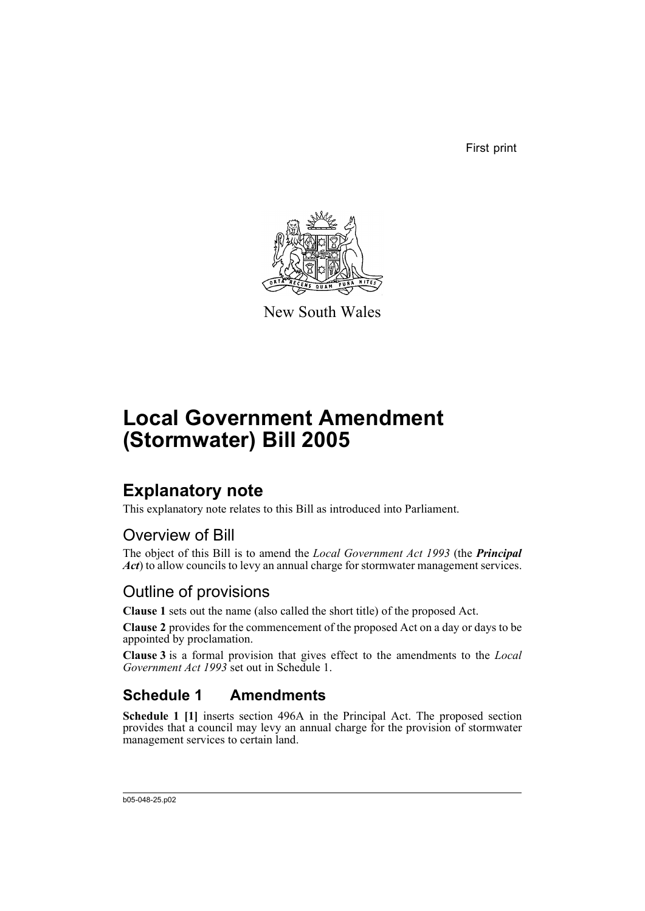First print



New South Wales

# **Local Government Amendment (Stormwater) Bill 2005**

## **Explanatory note**

This explanatory note relates to this Bill as introduced into Parliament.

## Overview of Bill

The object of this Bill is to amend the *Local Government Act 1993* (the *Principal Act*) to allow councils to levy an annual charge for stormwater management services.

## Outline of provisions

**Clause 1** sets out the name (also called the short title) of the proposed Act.

**Clause 2** provides for the commencement of the proposed Act on a day or days to be appointed by proclamation.

**Clause 3** is a formal provision that gives effect to the amendments to the *Local Government Act 1993* set out in Schedule 1.

## **Schedule 1 Amendments**

**Schedule 1 [1]** inserts section 496A in the Principal Act. The proposed section provides that a council may levy an annual charge for the provision of stormwater management services to certain land.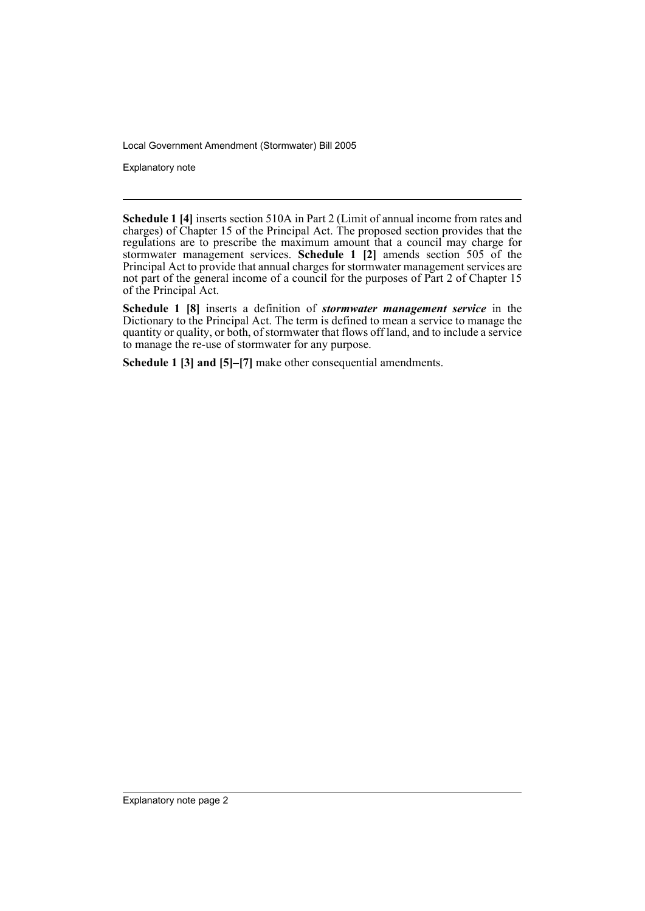Explanatory note

**Schedule 1 [4]** inserts section 510A in Part 2 (Limit of annual income from rates and charges) of Chapter 15 of the Principal Act. The proposed section provides that the regulations are to prescribe the maximum amount that a council may charge for stormwater management services. **Schedule 1 [2]** amends section 505 of the Principal Act to provide that annual charges for stormwater management services are not part of the general income of a council for the purposes of Part 2 of Chapter 15 of the Principal Act.

**Schedule 1 [8]** inserts a definition of *stormwater management service* in the Dictionary to the Principal Act. The term is defined to mean a service to manage the quantity or quality, or both, of stormwater that flows off land, and to include a service to manage the re-use of stormwater for any purpose.

**Schedule 1 [3] and [5]–[7]** make other consequential amendments.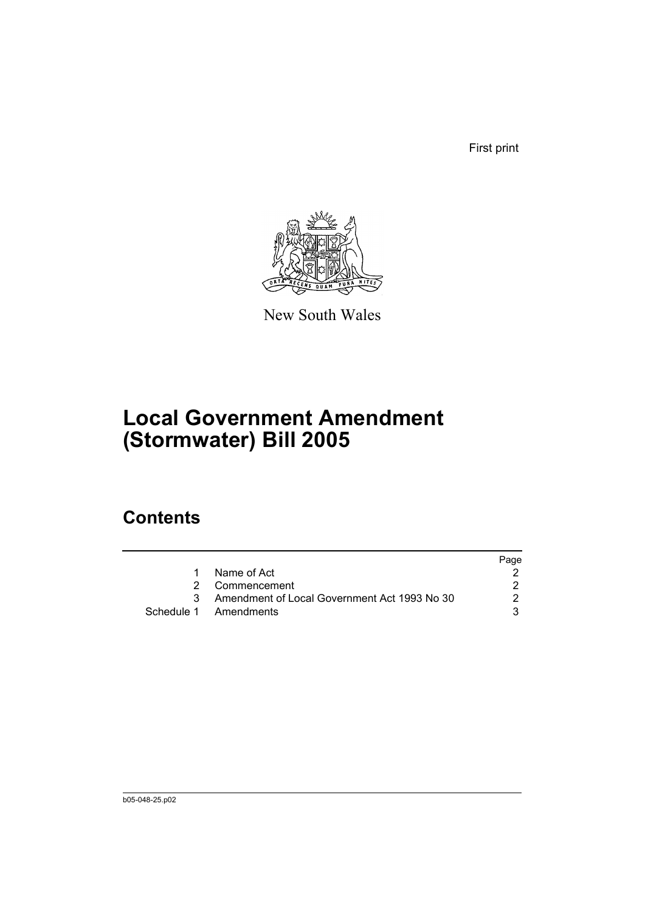First print



New South Wales

# **Local Government Amendment (Stormwater) Bill 2005**

## **Contents**

|                                                | Page |
|------------------------------------------------|------|
| 1 Name of Act                                  |      |
| 2 Commencement                                 |      |
| 3 Amendment of Local Government Act 1993 No 30 | 2    |
| Schedule 1 Amendments                          |      |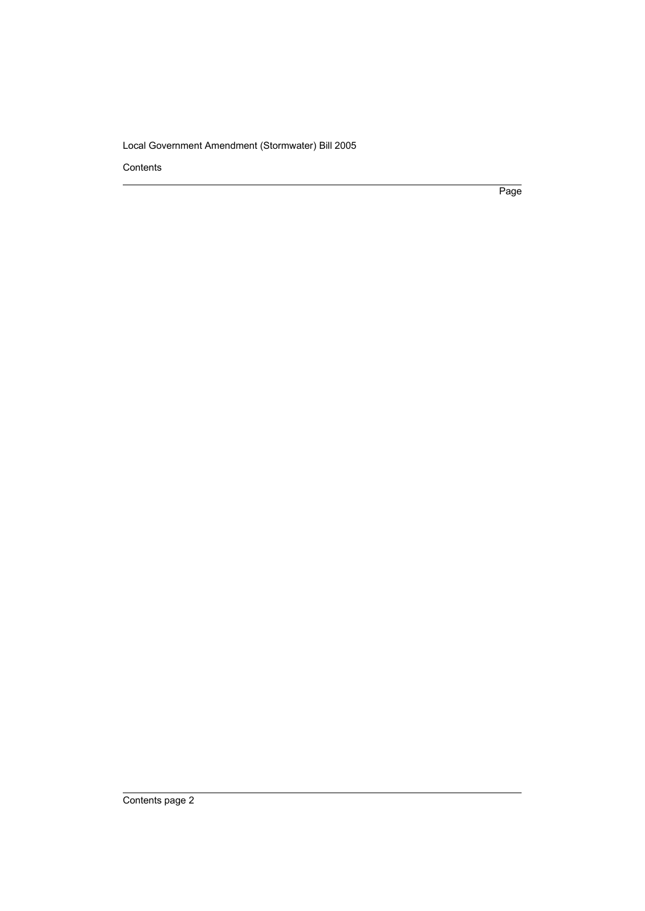Contents

Page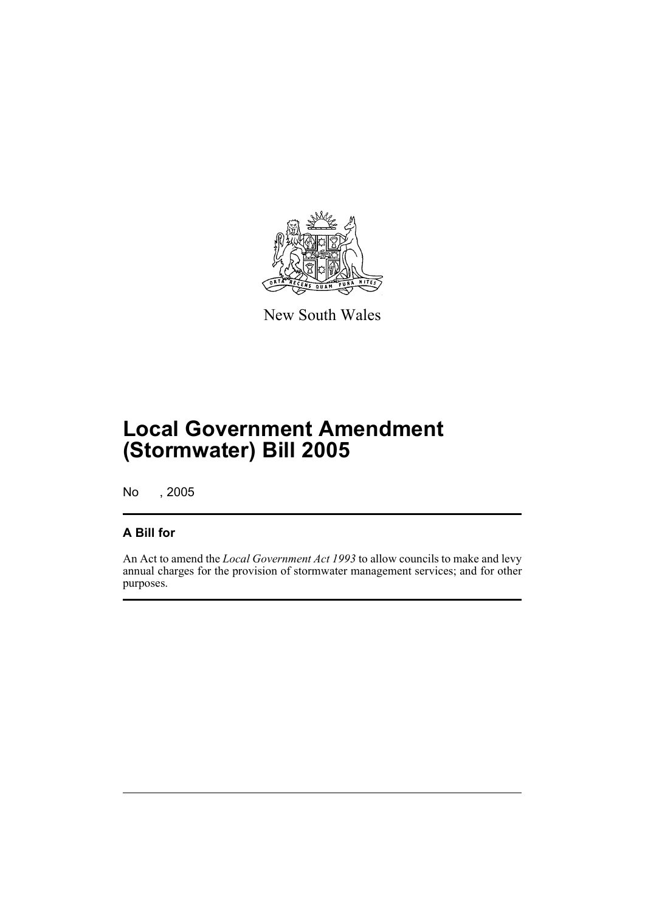

New South Wales

## **Local Government Amendment (Stormwater) Bill 2005**

No , 2005

#### **A Bill for**

An Act to amend the *Local Government Act 1993* to allow councils to make and levy annual charges for the provision of stormwater management services; and for other purposes.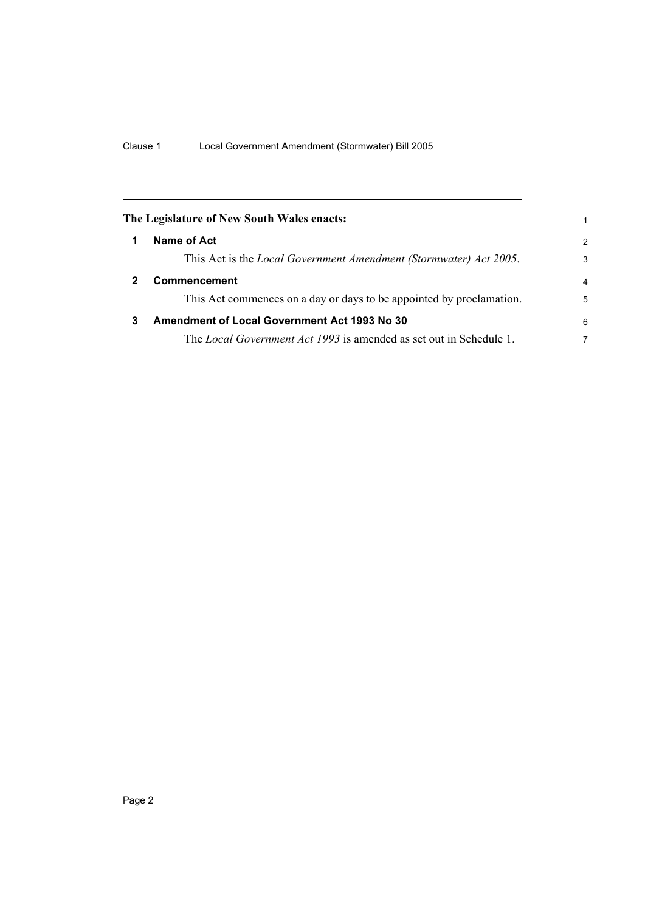| The Legislature of New South Wales enacts: |                                                                           |                |
|--------------------------------------------|---------------------------------------------------------------------------|----------------|
|                                            | Name of Act                                                               | 2              |
|                                            | This Act is the <i>Local Government Amendment (Stormwater) Act 2005</i> . | 3              |
|                                            | <b>Commencement</b>                                                       | $\overline{4}$ |
|                                            | This Act commences on a day or days to be appointed by proclamation.      | 5              |
| 3                                          | <b>Amendment of Local Government Act 1993 No 30</b>                       | 6              |
|                                            | The Local Government Act 1993 is amended as set out in Schedule 1.        | 7              |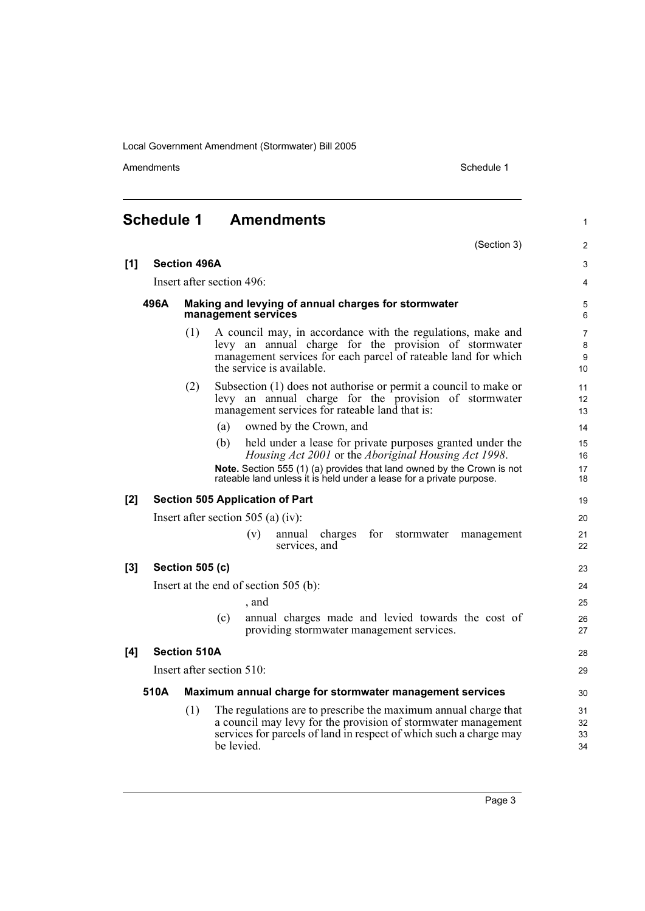Amendments Schedule 1

(Section 3)

1

2

#### **Schedule 1 Amendments**

| [1] | <b>Section 496A</b>       |                        |                                                                                                                                                                                                                      | 3                              |
|-----|---------------------------|------------------------|----------------------------------------------------------------------------------------------------------------------------------------------------------------------------------------------------------------------|--------------------------------|
|     |                           |                        | Insert after section 496:                                                                                                                                                                                            | 4                              |
|     | 496A                      |                        | Making and levying of annual charges for stormwater<br>management services                                                                                                                                           | 5<br>6                         |
|     |                           | (1)                    | A council may, in accordance with the regulations, make and<br>levy an annual charge for the provision of stormwater<br>management services for each parcel of rateable land for which<br>the service is available.  | $\overline{7}$<br>8<br>9<br>10 |
|     |                           | (2)                    | Subsection (1) does not authorise or permit a council to make or<br>levy an annual charge for the provision of stormwater<br>management services for rateable land that is:                                          | 11<br>12<br>13                 |
|     |                           |                        | owned by the Crown, and<br>(a)                                                                                                                                                                                       | 14                             |
|     |                           |                        | (b)<br>held under a lease for private purposes granted under the<br>Housing Act 2001 or the Aboriginal Housing Act 1998.<br>Note. Section 555 (1) (a) provides that land owned by the Crown is not                   | 15<br>16<br>17                 |
|     |                           |                        | rateable land unless it is held under a lease for a private purpose.                                                                                                                                                 | 18                             |
| [2] |                           |                        | <b>Section 505 Application of Part</b>                                                                                                                                                                               | 19                             |
|     |                           |                        | Insert after section 505 (a) (iv):                                                                                                                                                                                   | 20                             |
|     |                           |                        | (v)<br>annual<br>charges<br>for<br>stormwater<br>management<br>services, and                                                                                                                                         | 21<br>22                       |
| [3] |                           | <b>Section 505 (c)</b> |                                                                                                                                                                                                                      | 23                             |
|     |                           |                        | Insert at the end of section $505$ (b):                                                                                                                                                                              | 24                             |
|     |                           |                        | , and                                                                                                                                                                                                                | 25                             |
|     |                           |                        | annual charges made and levied towards the cost of<br>(c)<br>providing stormwater management services.                                                                                                               | 26<br>27                       |
| [4] |                           | <b>Section 510A</b>    |                                                                                                                                                                                                                      | 28                             |
|     | Insert after section 510: |                        |                                                                                                                                                                                                                      |                                |
|     | 510A                      |                        | Maximum annual charge for stormwater management services                                                                                                                                                             | 30                             |
|     |                           | (1)                    | The regulations are to prescribe the maximum annual charge that<br>a council may levy for the provision of stormwater management<br>services for parcels of land in respect of which such a charge may<br>be levied. | 31<br>32<br>33<br>34           |